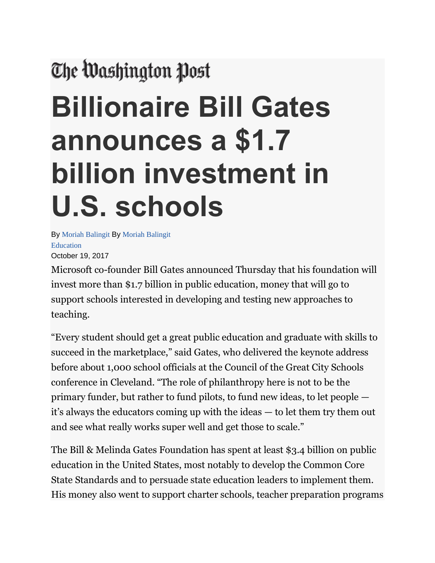## The Washington Post

## **Billionaire Bill Gates announces a \$1.7 billion investment in U.S. schools**

By [Moriah Balingit](https://www.washingtonpost.com/people/moriah-balingit/) By [Moriah Balingit](https://www.washingtonpost.com/people/moriah-balingit/) [Education](https://www.washingtonpost.com/local/education) October 19, 2017

Microsoft co-founder Bill Gates announced Thursday that his foundation will invest more than \$1.7 billion in public education, money that will go to support schools interested in developing and testing new approaches to teaching.

"Every student should get a great public education and graduate with skills to succeed in the marketplace," said Gates, who delivered the keynote address before about 1,000 school officials at the Council of the Great City Schools conference in Cleveland. "The role of philanthropy here is not to be the primary funder, but rather to fund pilots, to fund new ideas, to let people it's always the educators coming up with the ideas — to let them try them out and see what really works super well and get those to scale."

The Bill & Melinda Gates Foundation has spent at least \$3.4 billion on public education in the United States, most notably to develop the Common Core State Standards and to persuade state education leaders to implement them. His money also went to support charter schools, teacher preparation programs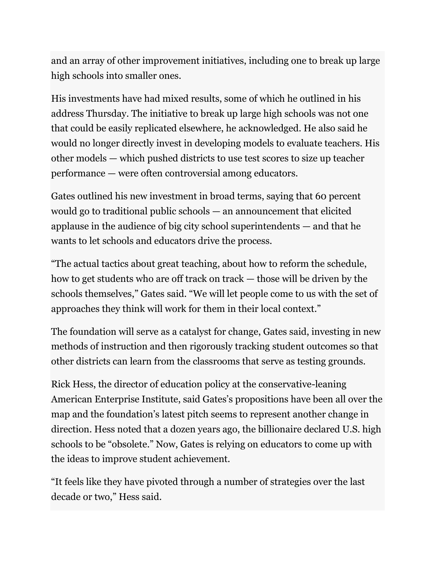and an array of other improvement initiatives, including one to break up large high schools into smaller ones.

His investments have had mixed results, some of which he outlined in his address Thursday. The initiative to break up large high schools was not one that could be easily replicated elsewhere, he acknowledged. He also said he would no longer directly invest in developing models to evaluate teachers. His other models — which pushed districts to use test scores to size up teacher performance — were often controversial among educators.

Gates outlined his new investment in broad terms, saying that 60 percent would go to traditional public schools — an announcement that elicited applause in the audience of big city school superintendents — and that he wants to let schools and educators drive the process.

"The actual tactics about great teaching, about how to reform the schedule, how to get students who are off track on track — those will be driven by the schools themselves," Gates said. "We will let people come to us with the set of approaches they think will work for them in their local context."

The foundation will serve as a catalyst for change, Gates said, investing in new methods of instruction and then rigorously tracking student outcomes so that other districts can learn from the classrooms that serve as testing grounds.

Rick Hess, the director of education policy at the conservative-leaning American Enterprise Institute, said Gates's propositions have been all over the map and the foundation's latest pitch seems to represent another change in direction. Hess noted that a dozen years ago, the billionaire declared U.S. high schools to be "obsolete." Now, Gates is relying on educators to come up with the ideas to improve student achievement.

"It feels like they have pivoted through a number of strategies over the last decade or two," Hess said.